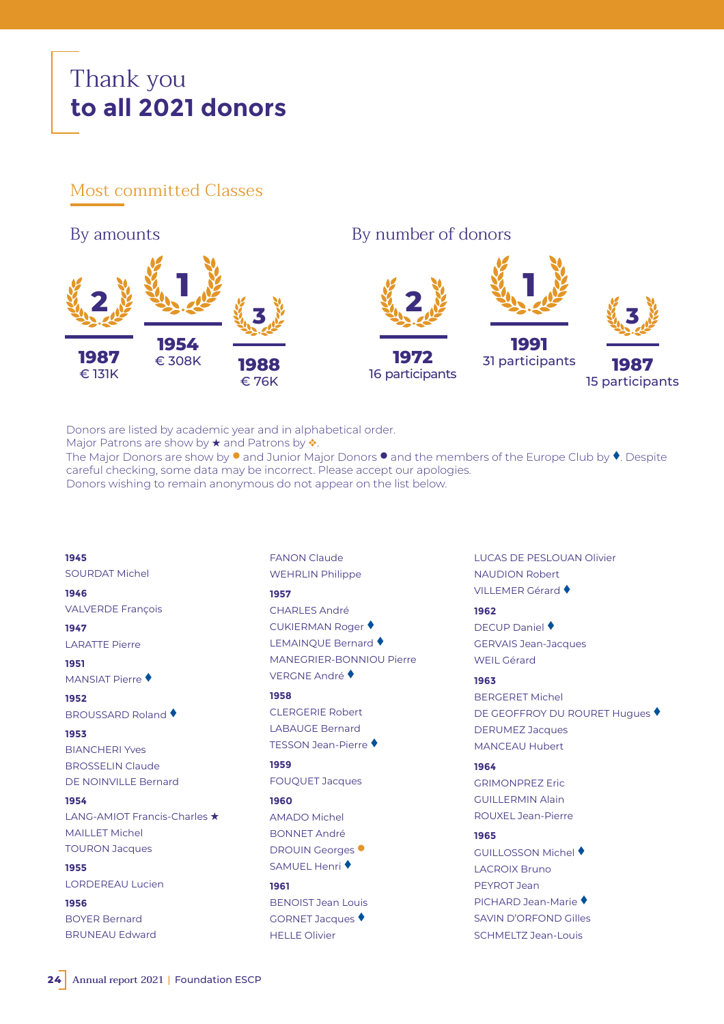# Thank you **to all 2021 donors**

# Most committed Classes

**1 1 1954** € 308K **1991** 31 participants **2 2 1987** € 131K **1972** 16 participants **3 3 1988** € 76K **1987** 15 participants By amounts By number of donors

Donors are listed by academic year and in alphabetical order.

Major Patrons are show by  $\star$  and Patrons by  $\dot{\bullet}$ .

The Major Donors are show by  $\bullet$  and Junior Major Donors  $\bullet$  and the members of the Europe Club by  $\bullet$ . Despite careful checking, some data may be incorrect. Please accept our apologies. Donors wishing to remain anonymous do not appear on the list below.

**1945** SOURDAT Michel **1946** VALVERDE François

**1947** LARATTE Pierre

**1951** 

**MANSIAT Pierre ♦ 1952** 

BROUSSARD Roland

**1953**  BIANCHERI Yves BROSSELIN Claude DE NOINVILLE Bernard

**1954** LANG-AMIOT Francis-Charles  $\star$ MAILLET Michel TOURON Jacques

**1955** LORDEREAU Lucien

**1956** BOYER Bernard BRUNEAU Edward

FANON Claude WEHRLIN Philippe **1957** CHARLES André CUKIERMAN Roger LEMAINOUE Bernard ♦ MANEGRIER-BONNIOU Pierre VERGNE André ♦ **1958** CLERGERIE Robert LABAUGE Bernard TESSON Jean-Pierre

**1959**

**1960** 

**1961**

FOUQUET Jacques

BENOIST Jean Louis GORNET Jacques ♦ HELLE Olivier

AMADO Michel BONNET André DROUIN Georges<sup>O</sup> SAMUEL Henri ♦

LUCAS DE PESLOUAN Olivier NAUDION Robert VILLEMER Gérard ♦

# **1962**

DECUP Daniel ♦ GERVAIS Jean-Jacques WEIL Gérard

# **1963**

BERGERET Michel DE GEOFFROY DU ROURET Hugues ♦ DERUMEZ Jacques MANCEAU Hubert

# **1964**

GRIMONPREZ Eric GUILLERMIN Alain ROUXEL Jean-Pierre

# **1965**

GUILLOSSON Michel LACROIX Bruno PEYROT Jean PICHARD Jean-Marie SAVIN D'ORFOND Gilles SCHMELTZ Jean-Louis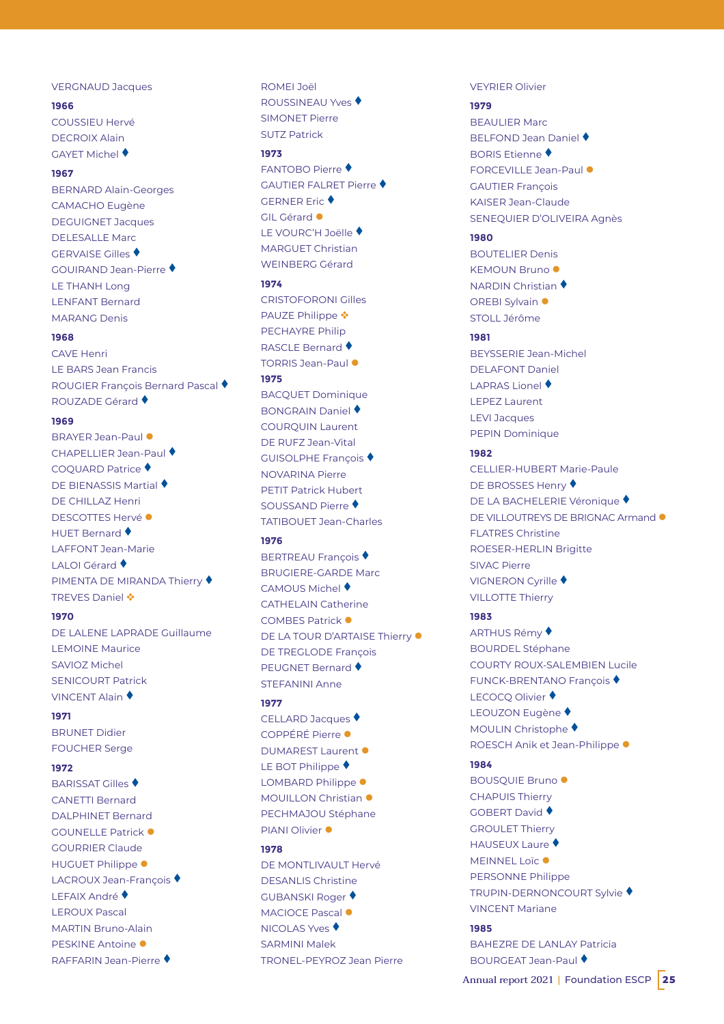# VERGNAUD Jacques

# **1966**

COUSSIEU Hervé DECROIX Alain GAYET Michel ♦

# **1967**

BERNARD Alain-Georges CAMACHO Eugène DEGUIGNET Jacques DELESALLE Marc GERVAISE Gilles GOUIRAND Jean-Pierre LE THANH Long LENFANT Bernard MARANG Denis

#### **1968**

CAVE Henri LE BARS Jean Francis ROUGIER François Bernard Pascal **ROUZADE Gérard** ♦

# **1969**

BRAYER Jean-Paul <sup>.</sup> CHAPELLIER Jean-Paul COOUARD Patrice ♦ **DE BIENASSIS Martial ♦** DE CHILLAZ Henri DESCOTTES Hervé · HUET Bernard ♦ LAFFONT Jean-Marie LALOI Gérard ♦ PIMENTA DE MIRANDA Thierry ♦ TREVES Daniel ❖

# **1970**

DE LALENE LAPRADE Guillaume LEMOINE Maurice SAVIOZ Michel SENICOLIDT Patrick VINCENT Alain

#### **1971**

BRUNET Didier FOUCHER Serge

# **1972**

BARISSAT Gilles CANETTI Bernard DALPHINET Bernard GOUNELLE Patrick  $\bullet$ GOURRIER Claude HUGUET Philippe  $\bullet$ LACROUX Jean-Francois ♦ LEFAIX André ♦ LEROUX Pascal MARTIN Bruno-Alain PESKINE Antoine · RAFFARIN Jean-Pierre

ROMEI Joël ROUSSINEAU Yves SIMONET Pierre SUTZ Patrick

#### **1973**

FANTOBO Pierre GAUTIER FALRET Pierre GERNER Eric ♦ GIL Gérard <sup>a</sup> LE VOURC'H Joëlle ♦ MARGUET Christian WEINBERG Gérard

#### **1974**

CRISTOFORONI Gilles PAUZE Philippe ❖ PECHAYRE Philip **RASCLE Bernard ♦** TORRIS Jean-Paul <sup>.</sup> **1975** 

BACQUET Dominique BONGRAIN Daniel COURQUIN Laurent DE RUFZ Jean-Vital GUISOLPHE Francois ♦ NOVARINA Pierre PETIT Patrick Hubert SOUSSAND Pierre ♦ TATIBOUET Jean-Charles

# **1976**

**BERTREAU Francois ♦** BRUGIERE-GARDE Marc CAMOUS Michel ♦ CATHELAIN Catherine COMBES Patrick <sup>O</sup> DE LA TOUR D'ARTAISE Thierry  $\bullet$ DE TREGLODE François **PEUGNET Bernard ♦** STEFANINI Anne

# **1977**

CELLARD Jacques ♦ COPPÉRÉ Pierre · DUMAREST Laurent  $\bullet$ LE BOT Philippe ♦ LOMBARD Philippe  $\bullet$ MOUILLON Christian <sup>·</sup> PECHMAJOU Stéphane PIANI Olivier <sup>·</sup>

#### **1978**

DE MONTLIVAULT Hervé DESANLIS Christine GUBANSKI Roger MACIOCE Pascal <sup>·</sup> NICOLAS Yves ♦ SARMINI Malek TRONEL-PEYROZ Jean Pierre VEYRIER Olivier

# **1979**

BEAULIER Marc **BELFOND Jean Daniel ♦ BORIS Etienne ♦** FORCEVILLE Jean-Paul <sup>.</sup> GAUTIER François KAISER Jean-Claude SENEQUIER D'OLIVEIRA Agnès

# **1980**

BOUTELIER Denis KEMOUN Bruno <sup>·</sup> **NARDIN Christian ♦** OREBI Sylvain  $\bullet$ STOLL Jérôme

#### **1981**

BEYSSERIE Jean-Michel DELAFONT Daniel LAPRAS Lionel ♦ LEPEZ Laurent LEVI Jacques PEPIN Dominique

#### **1982**

CELLIER-HUBERT Marie-Paule DE BROSSES Henry ♦ DE LA BACHELERIE Véronique ♦ DE VILLOUTREYS DE BRIGNAC Armand  $\bullet$ FLATRES Christine ROESER-HERLIN Brigitte SIVAC Pierre **VIGNERON Cyrille ♦** VILLOTTE Thierry

# **1983**

ARTHUS Rémy ♦ BOURDEL Stéphane COURTY ROUX-SALEMBIEN Lucile FUNCK-BRENTANO François ♦ LECOCO Olivier ♦ LEOUZON Eugène ♦ MOULIN Christophe ♦ ROESCH Anik et Jean-Philippe · **1984** BOUSQUIE Bruno ·

CHAPUIS Thierry

GOBERT David ♦ GROULET Thierry

HAUSEUX Laure ♦

VINCENT Mariane

MEINNEL Loïc <sup>O</sup> PERSONNE Philippe TRUPIN-DERNONCOURT Sylvie

#### **1985**

BAHEZRE DE LANLAY Patricia BOURGEAT Jean-Paul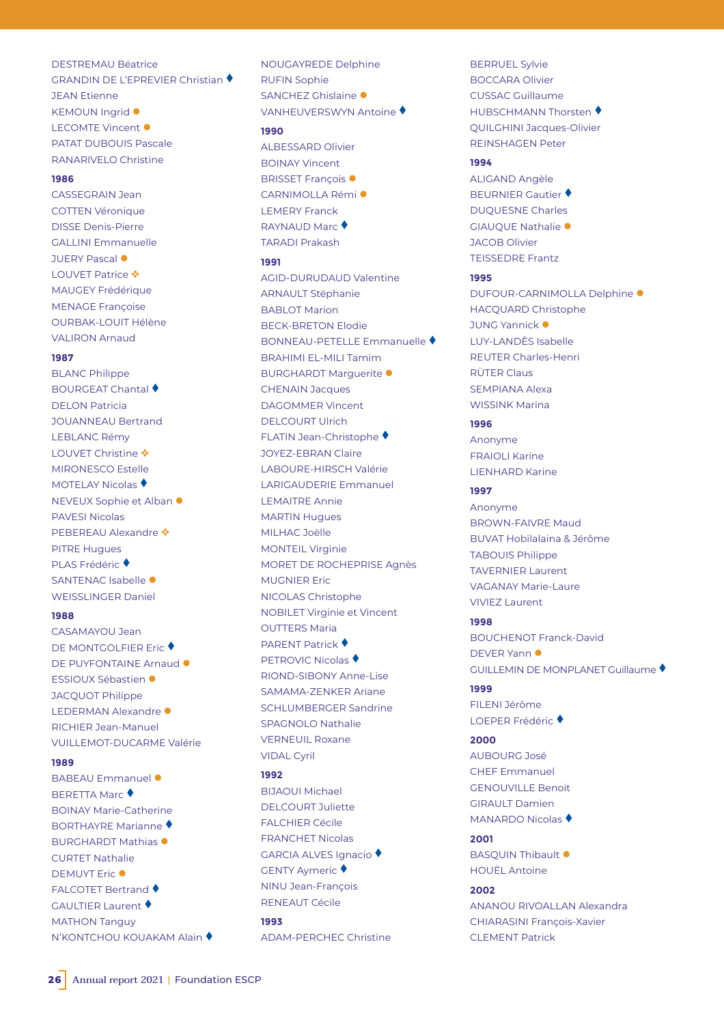# DESTREMAU Béatrice

GRANDIN DE L'EPREVIER Christian ♦ JEAN Etienne KEMOUN Ingrid  $\bullet$ LECOMTE Vincent  $\bullet$ PATAT DUBOUIS Pascale RANARIVELO Christine

# **1986**

CASSEGRAIN Jean COTTEN Véronique DISSE Denis-Pierre GALLINI Emmanuelle JUERY Pascal <sup>·</sup> LOUVET Patrice  $\clubsuit$ MAUGEY Frédérique MENAGE Françoise OURBAK-LOUIT Hélène VALIRON Arnaud

#### **1987**

BLANC Philippe **BOURGEAT Chantal** DELON Patricia JOUANNEAU Bertrand LEBLANC Rémy LOUVET Christine ❖ MIRONESCO Estelle MOTELAY Nicolas ♦ NEVEUX Sophie et Alban ● PAVESI Nicolas PEBEREAU Alexandre ◆ PITRE Hugues PLAS Frédéric ♦ SANTENAC Isabelle  $\bullet$ WEISSLINGER Daniel

### **1988**

CASAMAYOU Jean DE MONTGOLFIER Eric ♦ DE PUYFONTAINE Arnaud <sup>.</sup> ESSIOUX Sébastien · JACQUOT Philippe LEDERMAN Alexandre · RICHIER Jean-Manuel VUILLEMOT-DUCARME Valérie

#### **1989**

BABEAU Emmanuel · **BERETTA Marc** ♦ BOINAY Marie-Catherine BORTHAYRE Marianne BURGHARDT Mathias <sup>·</sup> CURTET Nathalie DEMUYT Fric <sup>@</sup> FALCOTET Bertrand ♦ GAULTIER Laurent MATHON Tanguy N'KONTCHOU KOUAKAM Alain ♦ NOUGAYREDE Delphine RUFIN Sophie SANCHEZ Ghislaine · VANHEUVERSWYN Antoine

# **1990**

ALBESSARD Olivier BOINAY Vincent BRISSET Francois <sup>·</sup> CARNIMOLLA Rémi<sup>o</sup> LEMERY Franck **RAYNAUD Marc** TARADI Prakash

#### **1991**

AGID-DURUDAUD Valentine ARNAULT Stéphanie BABLOT Marion BECK-BRETON Elodie BONNEAU-PETELLE Emmanuelle BRAHIMI EL-MILI Tamim BURGHARDT Marguerite · CHENAIN Jacques DAGOMMER Vincent DELCOURT Ulrich FLATIN Jean-Christophe JOYEZ-EBRAN Claire LABOURE-HIRSCH Valérie LARIGAUDERIE Emmanuel LEMAITRE Annie MARTIN Hugues MILHAC Joëlle MONTEIL Virginie MORET DE ROCHEPRISE Agnès MUGNIER Eric NICOLAS Christophe NOBILET Virginie et Vincent OUTTERS Maria **PARENT Patrick ♦ PETROVIC Nicolas ♦** RIOND-SIBONY Anne-Lise SAMAMA-ZENKER Ariane SCHLUMBERGER Sandrine SPAGNOLO Nathalie VERNEUIL Roxane VIDAL Cyril

#### **1992**

BIJAOUI Michael DELCOURT Juliette FALCHIER Cécile FRANCHET Nicolas GARCIA ALVES Ignacio GENTY Aymeric ♦ NINU Jean-François RENEAUT Cécile **1993** 

ADAM-PERCHEC Christine

BERRUEL Sylvie BOCCARA Olivier CUSSAC Guillaume HUBSCHMANN Thorsten ♦ QUILGHINI Jacques-Olivier REINSHAGEN Peter

#### **1994**

ALIGAND Angèle **BEURNIER Gautier ♦** DUQUESNE Charles GIAUQUE Nathalie · JACOB Olivier TEISSEDRE Frantz

# **1995**

DUFOUR-CARNIMOLLA Delphine <sup>·</sup> HACQUARD Christophe JUNG Yannick  $\bullet$ LUY-LANDÈS Isabelle REUTER Charles-Henri RÜTER Claus SEMPIANA Alexa WISSINK Marina

# **1996**

Anonyme FRAIOLI Karine LIENHARD Karine

# **1997**

Anonyme BROWN-FAIVRE Maud BUVAT Hobilalaina & Jérôme TABOUIS Philippe TAVERNIER Laurent VAGANAY Marie-Laure VIVIEZ Laurent

# **1998**

BOUCHENOT Franck-David DEVER Yann GUILLEMIN DE MONPLANET Guillaume

# **1999**

FILENI Jérôme LOEPER Frédéric ♦

# **2000**

AUBOURG José CHEF Emmanuel GENOUVILLE Benoit GIRAULT Damien **MANARDO Nicolas ♦** 

#### **2001**

BASQUIN Thibault  $\bullet$ HOUËL Antoine

# **2002**

ANANOU RIVOALLAN Alexandra CHIARASINI François-Xavier CLEMENT Patrick